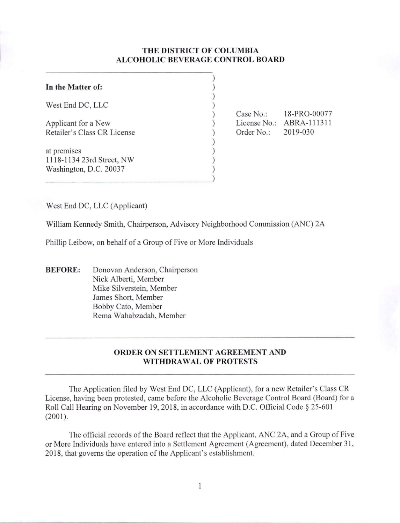# **THE DISTRICT OF COLUMBIA ALCOHOLIC BEVERAGE CONTROL BOARD**

) ) ) ) ) ) ) ) ) ) )

| In the Matter of:                                                  |  |
|--------------------------------------------------------------------|--|
| West End DC, LLC                                                   |  |
| Applicant for a New<br>Retailer's Class CR License                 |  |
| at premises<br>1118-1134 23rd Street, NW<br>Washington, D.C. 20037 |  |

Case No.: 18-PRO-00077 License No.: ABRA-111311 Order No.: 2019-030

West End DC, LLC (Applicant)

William Kennedy Smith, Chairperson, Advisory Neighborhood Commission (ANC) 2A

Phillip Leibow, on behalf of a Group of Five or More Individuals

**BEFORE:** Donovan Anderson, Chairperson Nick Alberti, Member Mike Silverstein, Member James Short, Member Bobby Cato, Member Rema Wahabzadah, Member

# **ORDER ON SETTLEMENT AGREEMENT AND WITHDRAW AL OF PROTESTS**

The Application filed by West End DC, LLC (Applicant), for a new Retailer's Class CR License, having been protested, came before the A lcoholic Beverage Control Board (Board) for a Roll Call Hearing on November 19, 2018, in accordance with D.C. Official Code § 25-601 (2001).

The official records of the Board reflect that the Applicant, ANC 2A, and a Group of Five or More Individuals have entered into a Settlement Agreement (Agreement), dated December 31 , 20 18, that governs the operation of the Applicant's establishment.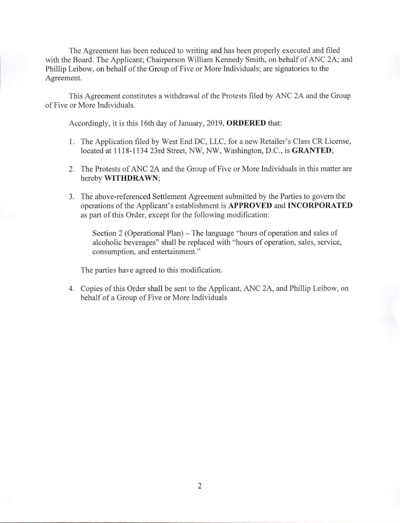The Agreement has been reduced to writing and has been properly executed and filed with the Board. The Applicant; Chairperson William Kennedy Smith, on behalf of ANC 2A; and Phillip Leibow, on behalf of the Group of Five or More Individuals; are signatories to the Agreement.

This Agreement constitutes a withdrawal of the Protests filed by ANC 2A and the Group of Five or More Individuals.

Accordingly, it is this 16th day of January, 2019, **ORDERED** that:

- 1. The Application filed by West End DC, LLC, for a new Retailer's Class CR License, located at 1118-1134 23rd Street, NW, NW, Washington, D.C., is **GRANTED;**
- 2. The Protests of ANC 2A and the Group of Five or More Individuals in this matter are hereby **WITHDRAWN;**
- 3. The above-referenced Settlement Agreement submitted by the Parties to govern the operations of the Applicant's establishment is **APPROVED and INCORPORATED**  as part of this Order, except for the following modification:

Section 2 (Operational Plan) – The language "hours of operation and sales of alcoholic beverages" shall be replaced with "hours of operation, sales, service, consumption, and entertainment."

The parties have agreed to this modification.

4. Copies of this Order shall be sent to the Applicant, ANC 2A, and Phillip Leibow, on behalf of a Group of Five or More Individuals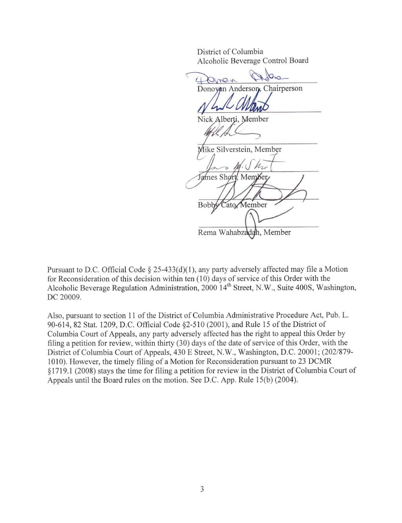District of Columbia Alcoholic Beverage Control Board

nbia<br>age Control Board<br>Son Chairnerson ronic Nick Alberti, Member Mike Silverstein, Member ames Short. Member Cato Member Bobb Rema Wahabzadah, Member

Pursuant to D.C. Official Code § 25-433(d)(1), any party adversely affected may file a Motion for Reconsideration of this decision within ten (10) days of service of this Order with the Alcoholic Beverage Regulation Administration, 2000 14<sup>th</sup> Street, N.W., Suite 400S, Washington, DC 20009.

Also, pursuant to section 11 of the District of Columbia Administrative Procedure Act, Pub. L. 90-614, 82 Stat. 1209, D.C. Official Code §2-510 (2001), and Rule 15 of the District of Columbia Court of Appeals, any party adversely affected has the right to appeal this Order by filing a petition for review, within thirty (30) days of the date of service of this Order, with the District of Columbia Court of Appeals, 430 E Street, N.W., Washington, D.C. 20001; (202/879-1010). However, the timely filing of a Motion for Reconsideration pursuant to 23 DCMR §1719.1 (2008) stays the time for filing a petition for review in the District of Columbia Court of Appeals until the Board rules on the motion. See D.C. App. Rule 15(b) (2004).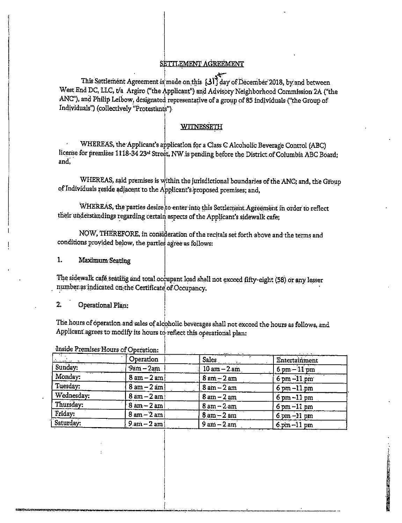## SETTLEMENT AGREEMENT

This Settlement Agreement is made on this [31] day of December 2018, by and between West End DC, LLC, t/a Argiro ("the Applicant") and Advisory Neighborhood Commission 2A ("the ANC"), and Philip Leibow, designated representative of a group of 85 individuals ("the Group of Individuals") (collectively "Protestants").

## **WITNESSETH**

WHEREAS, the Applicant's application for a Class C Alcoholic Beverage Control (ABC) license for premises 1118-34 23<sup>rd</sup> Street, NW is pending before the District of Columbia ABC Board; and.

WHEREAS, said premises is within the jurisdictional boundaries of the ANC; and, the Group of Individuals reside adjacent to the Applicant's proposed premises; and,

WHEREAS, the parties desire to enter into this Settlement Agreement in order to reflect their understandings regarding certain aspects of the Applicant's sidewalk cafe;

NOW, THEREFORE, in consideration of the recitals set forth above and the terms and conditions provided below, the parties agree as follows:

 $1.$ Maximum Seating

The sidewalk café seating and total occupant load shall not exceed fifty-eight (58) or any lesser number as indicated on the Certificate of Occupancy.

#### $\overline{2}$ . Operational Plan:

The hours of operation and sales of alcoholic beverages shall not exceed the hours as follows, and Applicant agrees to modify its hours to reflect this operational plan:

|            | Operation                     | Sales                          | Entertainment                  |
|------------|-------------------------------|--------------------------------|--------------------------------|
| Sunday:    | $9am - 2am$                   | $10 \text{ am} - 2 \text{ am}$ | $6$ pm $-11$ pm                |
| Monday:    | $8 \text{ am} - 2 \text{ am}$ | $8$ am $-2$ am                 | $6 \text{ pm} - 11 \text{ pm}$ |
| Tuesday:   | $8 \text{ am} - 2 \text{ am}$ | $8am - 2am$                    | $6$ pm $-11$ pm                |
| Wednesday: | $8 \text{ am} - 2 \text{ am}$ | $8 \text{ am} - 2 \text{ am}$  | $6 \text{ pm} - 11 \text{ pm}$ |
| Thursday:  | $8 \text{ am} - 2 \text{ am}$ | $8am - 2am$                    | $6$ pm $-11$ pm                |
| Friday:    | $8$ am $-2$ am                | $8 \text{ am} - 2 \text{ am}$  | $6 \text{ pm} - 11 \text{ pm}$ |
| Saturday:  | $9 \text{ am} - 2 \text{ am}$ | $9 \text{ am} - 2 \text{ am}$  | $6 \text{ pm} - 11 \text{ pm}$ |

Inside Premises: Hours of Operation.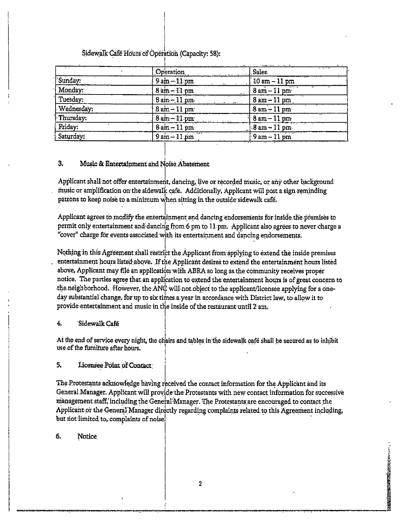Sidewalk Café Hours of Operation (Capacity: 58):

|            | Operation                          | Sales                           |
|------------|------------------------------------|---------------------------------|
| Sunday:    | $-9$ am $-11$ pm                   | $10 \text{ am} - 11 \text{ pm}$ |
| Monday:    | $8 \, \text{am} - 11 \, \text{pm}$ | $8 \text{ am} - 11 \text{ pm}$  |
| Tuesday:   | $8 \text{ am} - 11 \text{ pm}$     | $8$ am $-11$ pm                 |
| Wednesday: | $8 \text{ am} - 11 \text{ pm}$     | $8 \text{ am} - 11 \text{ pm}$  |
| Thursday:  | $8 \text{ am} - 11 \text{ pm}$     | $18$ am $-11$ pm                |
| Friday:    | $8 \text{ am} - 11 \text{ pm}$     | $8am - 11pm$                    |
| Saturday:  | $9am-11pm$                         | $9 \text{ am} - 11 \text{ pm}$  |

#### 3. Music & Entertainment and Noise Abatement

Applicant shall not offer entertainment, dancing, live or recorded music, or any other background music or amplification on the sidewalk cafe. Additionally, Applicant will post a sign reminding patrons to keep noise to a minimum when sitting in the outside sidewalk café.

Applicant agrees to modify the entertainment and dancing endorsements for inside the premises to permit only entertainment and dancing from 6 pm to 11 pm. Applicant also agrees to never charge a "cover" charge for events associated with its entertainment and dancing endorsements.

Nothing in this Agreement shall restrict the Applicant from applying to extend the inside premises entertainment hours listed above. If the Applicant desires to extend the entertainment hours listed above, Applicant may file an application with ABRA so long as the community receives proper notice. The parties agree that an application to extend the entertainment hours is of great concern to the neighborhood. However, the ANC will not object to the applicant/licensee applying for a oneday substantial change, for up to six times a year in accordance with District law, to allow it to provide entertainment and music in the inside of the restaurant until 2 am.

#### $\overline{4}$ Sidewalk Café

At the end of service every night, the chairs and tables in the sidewalk café shall be secured as to inhibit use of the furniture after hours.

5. Licensee Point of Contact

The Protestants acknowledge having received the contact information for the Applicant and its General Manager. Applicant will provide the Protestants with new contact information for successive management staff, including the General Manager. The Protestants are encouraged to contact the Applicant or the General Manager directly regarding complaints related to this Agreement including, but not limited to, complaints of noise.

 $\overline{2}$ 

**PARTIES OF CAPACITY AND ACTIVITY** 

#### 6. Notice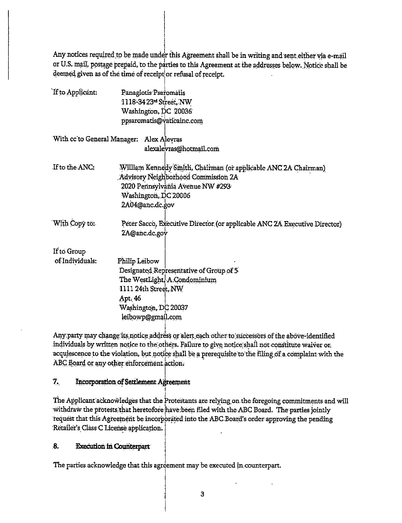Any notices required to be made under this Agreement shall be in writing and sent either via e-mail or U.S. mail, postage prepaid, to the parties to this Agreement at the addresses below. Notice shall be deemed given as of the time of receipt or refusal of receipt.

| If to Applicant:            | Panagiotis Psaromatis                                                     |
|-----------------------------|---------------------------------------------------------------------------|
|                             | 1118-3423 <sup>-d</sup> Street, NW                                        |
|                             | Washington, DC 20036                                                      |
|                             | ppsaromatis@vaticainc.com                                                 |
| With cc'to General Manager: | Alex Alevras                                                              |
|                             | alexaleyras@hotmail.com                                                   |
| If to the ANC:              | William Kennedy Smith, Chairman (or applicable ANC 2A Chairman)           |
|                             | Advisory Neighborhood Commission 2A                                       |
|                             | 2020 Pennsylväniä Avenue NW #293                                          |
|                             | Washington, DC 20006                                                      |
|                             | 2A04@anc.dc.gov                                                           |
| With Copy to:               | Peter Sacco, Executive Director (or applicable ANC 2A Executive Director) |
|                             | 2A@anc.dc.gov                                                             |
| If to Group                 |                                                                           |
| of Individuals:             | Philip Leibow                                                             |
|                             | Designated Representative of Group of 5                                   |
|                             | The WestLight, A Condominium                                              |
|                             | 1111 24th Street, NW                                                      |
|                             | Apt. 46                                                                   |
|                             | Washington, DC 20037                                                      |
|                             | leibowp@gmail.com                                                         |

Any party may change its notice address or alert each other to successors of the above-identified individuals by written notice to the others. Failure to give notice shall not constitute waiver or acquiescence to the violation, but notice shall be a prerequisite to the filing of a complaint with the ABC Board or any other enforcement action.

### $\mathbf{Z}$ . **Incorporation of Settlement Agreement**

The Applicant acknowledges that the Protestants are relying on the foregoing commitments and will withdraw the protests that heretofore have been filed with the ABC Board. The parties jointly request that this Agreement be incorporated into the ABC Board's order approving the pending Retailer's Class C License application.

### $\mathbf{8}$ **Execution in Counterpart**

The parties acknowledge that this agreement may be executed in counterpart.